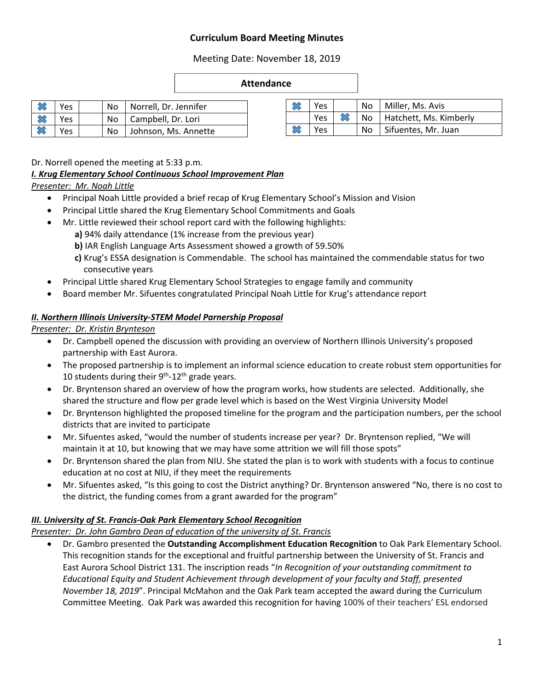# **Curriculum Board Meeting Minutes**

Meeting Date: November 18, 2019

#### **Attendance**

| Yes |  | No   Norrell, Dr. Jennifer |
|-----|--|----------------------------|
| Yes |  | No   Campbell, Dr. Lori    |
| Yes |  | No Johnson, Ms. Annette    |

| Yes             |  | No   Miller, Ms. Avis     |
|-----------------|--|---------------------------|
| Yes             |  | No Hatchett, Ms. Kimberly |
| <sup>v</sup> es |  | No   Sifuentes, Mr. Juan  |

Dr. Norrell opened the meeting at 5:33 p.m.

## *I. Krug Elementary School Continuous School Improvement Plan*

*Presenter: Mr. Noah Little* 

- Principal Noah Little provided a brief recap of Krug Elementary School's Mission and Vision
- Principal Little shared the Krug Elementary School Commitments and Goals
- Mr. Little reviewed their school report card with the following highlights:
	- **a)** 94% daily attendance (1% increase from the previous year)
	- **b**) IAR English Language Arts Assessment showed a growth of 59.50%
	- **c)** Krug's ESSA designation is Commendable. The school has maintained the commendable status for two consecutive years
- Principal Little shared Krug Elementary School Strategies to engage family and community
- Board member Mr. Sifuentes congratulated Principal Noah Little for Krug's attendance report

## *II. Northern Illinois University‐STEM Model Parnership Proposal*

*Presenter: Dr. Kristin Brynteson*

- Dr. Campbell opened the discussion with providing an overview of Northern Illinois University's proposed partnership with East Aurora.
- The proposed partnership is to implement an informal science education to create robust stem opportunities for 10 students during their  $9<sup>th</sup>$ -12<sup>th</sup> grade years.
- Dr. Bryntenson shared an overview of how the program works, how students are selected. Additionally, she shared the structure and flow per grade level which is based on the West Virginia University Model
- Dr. Bryntenson highlighted the proposed timeline for the program and the participation numbers, per the school districts that are invited to participate
- Mr. Sifuentes asked, "would the number of students increase per year? Dr. Bryntenson replied, "We will maintain it at 10, but knowing that we may have some attrition we will fill those spots"
- Dr. Bryntenson shared the plan from NIU. She stated the plan is to work with students with a focus to continue education at no cost at NIU, if they meet the requirements
- Mr. Sifuentes asked, "Is this going to cost the District anything? Dr. Bryntenson answered "No, there is no cost to the district, the funding comes from a grant awarded for the program"

# *III. University of St. Francis‐Oak Park Elementary School Recognition*

*Presenter: Dr. John Gambro Dean of education of the university of St. Francis* 

 Dr. Gambro presented the **Outstanding Accomplishment Education Recognition** to Oak Park Elementary School. This recognition stands for the exceptional and fruitful partnership between the University of St. Francis and East Aurora School District 131. The inscription reads "*In Recognition of your outstanding commitment to Educational Equity and Student Achievement through development of your faculty and Staff, presented November 18, 2019*". Principal McMahon and the Oak Park team accepted the award during the Curriculum Committee Meeting. Oak Park was awarded this recognition for having 100% of their teachers' ESL endorsed